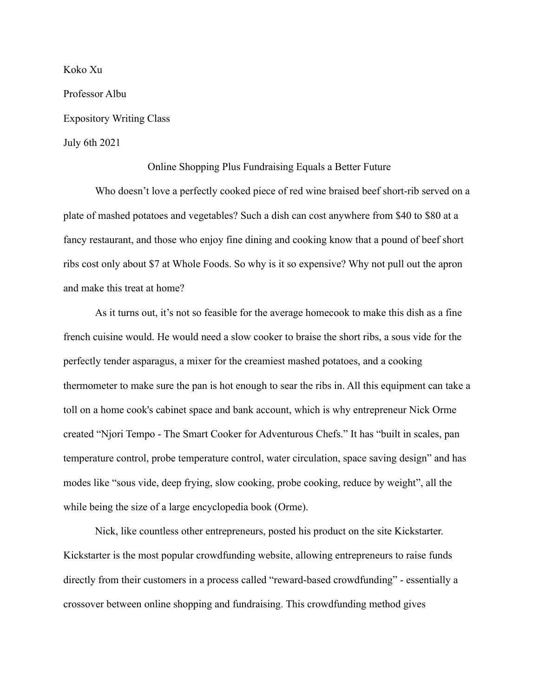Koko Xu Professor Albu Expository Writing Class July 6th 2021

## Online Shopping Plus Fundraising Equals a Better Future

Who doesn't love a perfectly cooked piece of red wine braised beef short-rib served on a plate of mashed potatoes and vegetables? Such a dish can cost anywhere from \$40 to \$80 at a fancy restaurant, and those who enjoy fine dining and cooking know that a pound of beef short ribs cost only about \$7 at Whole Foods. So why is it so expensive? Why not pull out the apron and make this treat at home?

As it turns out, it's not so feasible for the average homecook to make this dish as a fine french cuisine would. He would need a slow cooker to braise the short ribs, a sous vide for the perfectly tender asparagus, a mixer for the creamiest mashed potatoes, and a cooking thermometer to make sure the pan is hot enough to sear the ribs in. All this equipment can take a toll on a home cook's cabinet space and bank account, which is why entrepreneur Nick Orme created "Njori Tempo - The Smart Cooker for Adventurous Chefs." It has "built in scales, pan temperature control, probe temperature control, water circulation, space saving design" and has modes like "sous vide, deep frying, slow cooking, probe cooking, reduce by weight", all the while being the size of a large encyclopedia book (Orme).

Nick, like countless other entrepreneurs, posted his product on the site Kickstarter. Kickstarter is the most popular crowdfunding website, allowing entrepreneurs to raise funds directly from their customers in a process called "reward-based crowdfunding" - essentially a crossover between online shopping and fundraising. This crowdfunding method gives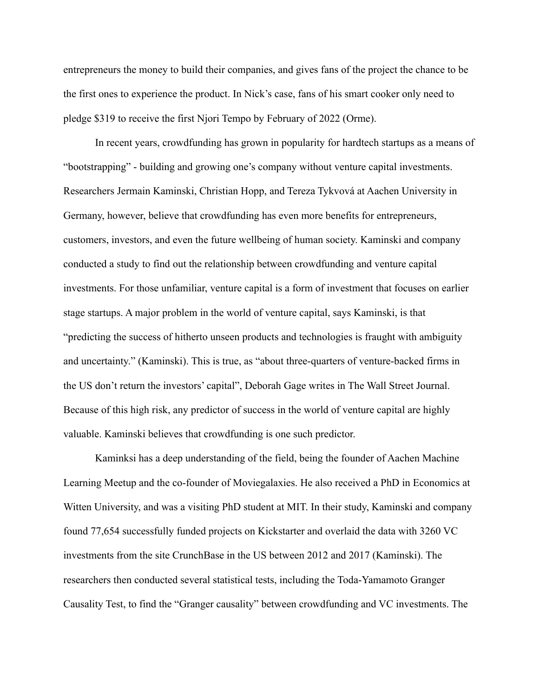entrepreneurs the money to build their companies, and gives fans of the project the chance to be the first ones to experience the product. In Nick's case, fans of his smart cooker only need to pledge \$319 to receive the first Njori Tempo by February of 2022 (Orme).

In recent years, crowdfunding has grown in popularity for hardtech startups as a means of "bootstrapping" - building and growing one's company without venture capital investments. Researchers Jermain Kaminski, Christian Hopp, and Tereza Tykvová at Aachen University in Germany, however, believe that crowdfunding has even more benefits for entrepreneurs, customers, investors, and even the future wellbeing of human society. Kaminski and company conducted a study to find out the relationship between crowdfunding and venture capital investments. For those unfamiliar, venture capital is a form of investment that focuses on earlier stage startups. A major problem in the world of venture capital, says Kaminski, is that "predicting the success of hitherto unseen products and technologies is fraught with ambiguity and uncertainty." (Kaminski). This is true, as "about three-quarters of venture-backed firms in the US don't return the investors' capital", Deborah Gage writes in The Wall Street Journal. Because of this high risk, any predictor of success in the world of venture capital are highly valuable. Kaminski believes that crowdfunding is one such predictor.

Kaminksi has a deep understanding of the field, being the founder of Aachen Machine Learning Meetup and the co-founder of Moviegalaxies. He also received a PhD in Economics at Witten University, and was a visiting PhD student at MIT. In their study, Kaminski and company found 77,654 successfully funded projects on Kickstarter and overlaid the data with 3260 VC investments from the site CrunchBase in the US between 2012 and 2017 (Kaminski). The researchers then conducted several statistical tests, including the Toda-Yamamoto Granger Causality Test, to find the "Granger causality" between crowdfunding and VC investments. The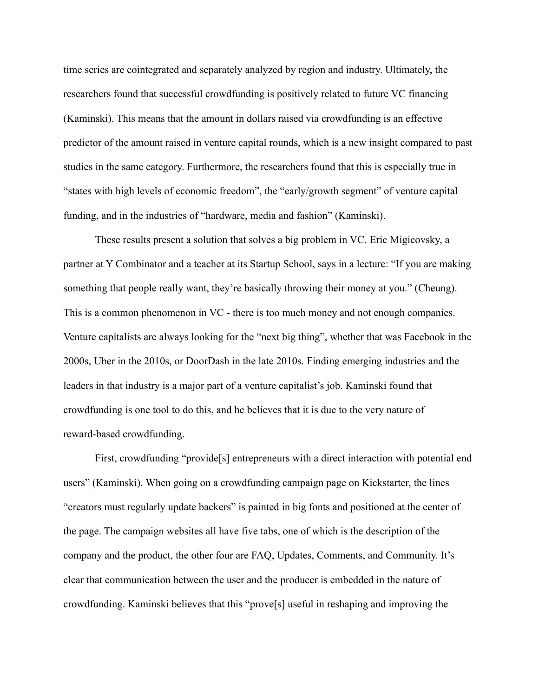time series are cointegrated and separately analyzed by region and industry. Ultimately, the researchers found that successful crowdfunding is positively related to future VC financing (Kaminski). This means that the amount in dollars raised via crowdfunding is an effective predictor of the amount raised in venture capital rounds, which is a new insight compared to past studies in the same category. Furthermore, the researchers found that this is especially true in "states with high levels of economic freedom", the "early/growth segment" of venture capital funding, and in the industries of "hardware, media and fashion" (Kaminski).

These results present a solution that solves a big problem in VC. Eric Migicovsky, a partner at Y Combinator and a teacher at its Startup School, says in a lecture: "If you are making something that people really want, they're basically throwing their money at you." (Cheung). This is a common phenomenon in VC - there is too much money and not enough companies. Venture capitalists are always looking for the "next big thing", whether that was Facebook in the 2000s, Uber in the 2010s, or DoorDash in the late 2010s. Finding emerging industries and the leaders in that industry is a major part of a venture capitalist's job. Kaminski found that crowdfunding is one tool to do this, and he believes that it is due to the very nature of reward-based crowdfunding.

First, crowdfunding "provide[s] entrepreneurs with a direct interaction with potential end users" (Kaminski). When going on a crowdfunding campaign page on Kickstarter, the lines "creators must regularly update backers" is painted in big fonts and positioned at the center of the page. The campaign websites all have five tabs, one of which is the description of the company and the product, the other four are FAQ, Updates, Comments, and Community. It's clear that communication between the user and the producer is embedded in the nature of crowdfunding. Kaminski believes that this "prove[s] useful in reshaping and improving the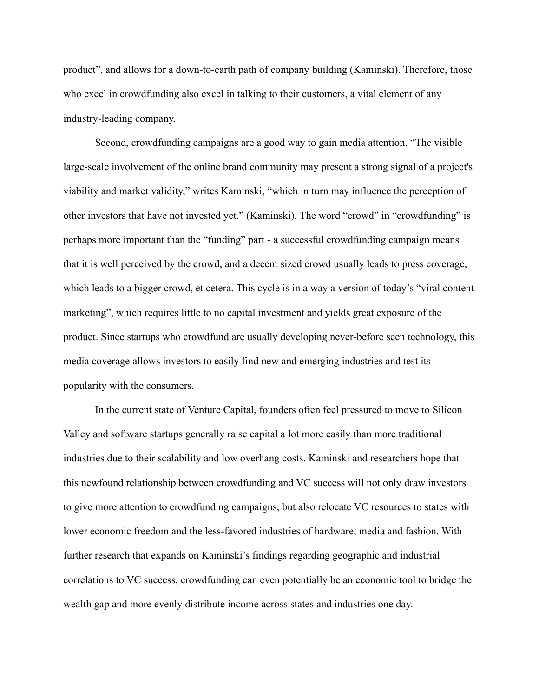product", and allows for a down-to-earth path of company building (Kaminski). Therefore, those who excel in crowdfunding also excel in talking to their customers, a vital element of any industry-leading company.

Second, crowdfunding campaigns are a good way to gain media attention. "The visible large-scale involvement of the online brand community may present a strong signal of a project's viability and market validity," writes Kaminski, "which in turn may influence the perception of other investors that have not invested yet." (Kaminski). The word "crowd" in "crowdfunding" is perhaps more important than the "funding" part - a successful crowdfunding campaign means that it is well perceived by the crowd, and a decent sized crowd usually leads to press coverage, which leads to a bigger crowd, et cetera. This cycle is in a way a version of today's "viral content marketing", which requires little to no capital investment and yields great exposure of the product. Since startups who crowdfund are usually developing never-before seen technology, this media coverage allows investors to easily find new and emerging industries and test its popularity with the consumers.

In the current state of Venture Capital, founders often feel pressured to move to Silicon Valley and software startups generally raise capital a lot more easily than more traditional industries due to their scalability and low overhang costs. Kaminski and researchers hope that this newfound relationship between crowdfunding and VC success will not only draw investors to give more attention to crowdfunding campaigns, but also relocate VC resources to states with lower economic freedom and the less-favored industries of hardware, media and fashion. With further research that expands on Kaminski's findings regarding geographic and industrial correlations to VC success, crowdfunding can even potentially be an economic tool to bridge the wealth gap and more evenly distribute income across states and industries one day.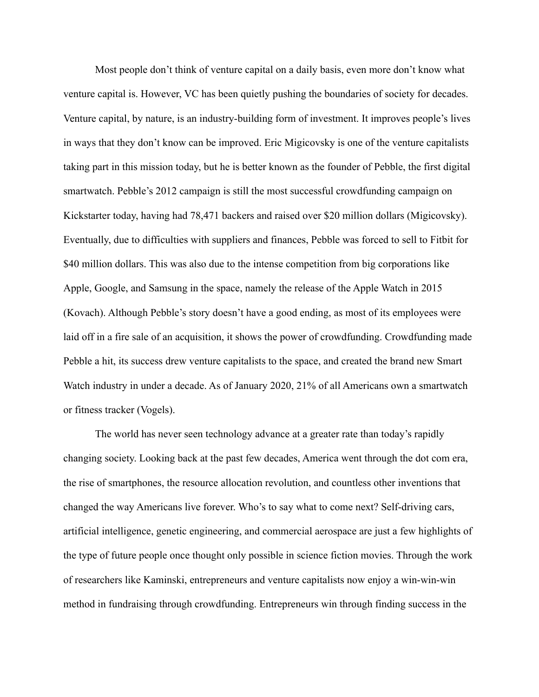Most people don't think of venture capital on a daily basis, even more don't know what venture capital is. However, VC has been quietly pushing the boundaries of society for decades. Venture capital, by nature, is an industry-building form of investment. It improves people's lives in ways that they don't know can be improved. Eric Migicovsky is one of the venture capitalists taking part in this mission today, but he is better known as the founder of Pebble, the first digital smartwatch. Pebble's 2012 campaign is still the most successful crowdfunding campaign on Kickstarter today, having had 78,471 backers and raised over \$20 million dollars (Migicovsky). Eventually, due to difficulties with suppliers and finances, Pebble was forced to sell to Fitbit for \$40 million dollars. This was also due to the intense competition from big corporations like Apple, Google, and Samsung in the space, namely the release of the Apple Watch in 2015 (Kovach). Although Pebble's story doesn't have a good ending, as most of its employees were laid off in a fire sale of an acquisition, it shows the power of crowdfunding. Crowdfunding made Pebble a hit, its success drew venture capitalists to the space, and created the brand new Smart Watch industry in under a decade. As of January 2020, 21% of all Americans own a smartwatch or fitness tracker (Vogels).

The world has never seen technology advance at a greater rate than today's rapidly changing society. Looking back at the past few decades, America went through the dot com era, the rise of smartphones, the resource allocation revolution, and countless other inventions that changed the way Americans live forever. Who's to say what to come next? Self-driving cars, artificial intelligence, genetic engineering, and commercial aerospace are just a few highlights of the type of future people once thought only possible in science fiction movies. Through the work of researchers like Kaminski, entrepreneurs and venture capitalists now enjoy a win-win-win method in fundraising through crowdfunding. Entrepreneurs win through finding success in the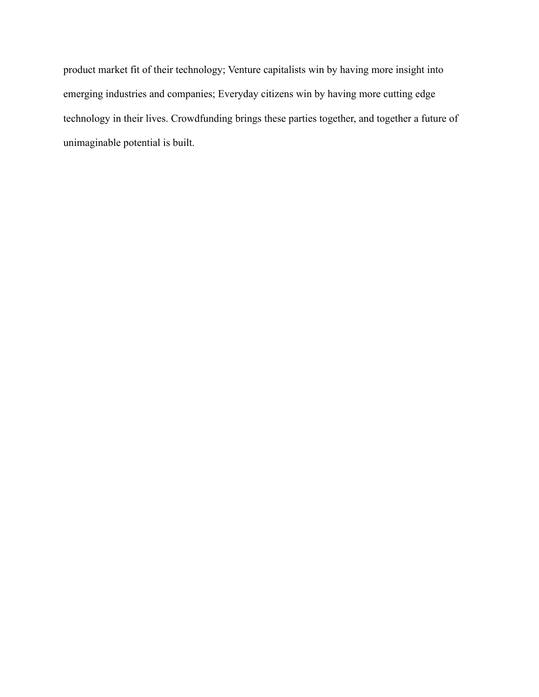product market fit of their technology; Venture capitalists win by having more insight into emerging industries and companies; Everyday citizens win by having more cutting edge technology in their lives. Crowdfunding brings these parties together, and together a future of unimaginable potential is built.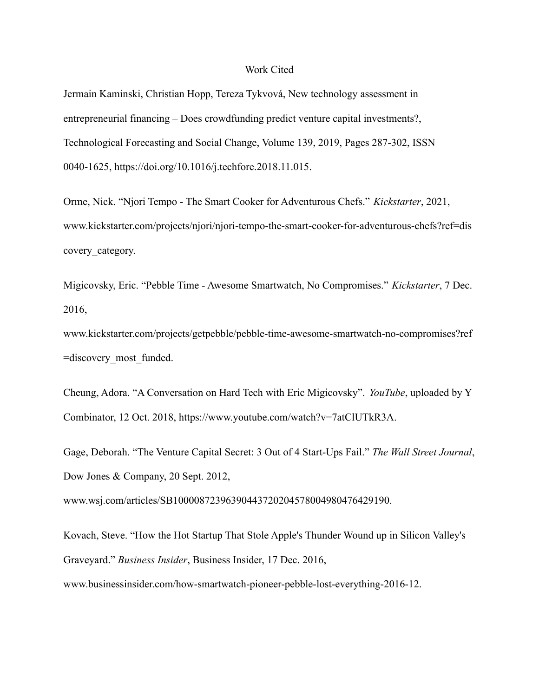## Work Cited

Jermain Kaminski, Christian Hopp, Tereza Tykvová, New technology assessment in entrepreneurial financing – Does crowdfunding predict venture capital investments?, Technological Forecasting and Social Change, Volume 139, 2019, Pages 287-302, ISSN 0040-1625, https://doi.org/10.1016/j.techfore.2018.11.015.

Orme, Nick. "Njori Tempo - The Smart Cooker for Adventurous Chefs." *Kickstarter*, 2021, www.kickstarter.com/projects/njori/njori-tempo-the-smart-cooker-for-adventurous-chefs?ref=dis covery\_category.

Migicovsky, Eric. "Pebble Time - Awesome Smartwatch, No Compromises." *Kickstarter*, 7 Dec. 2016,

www.kickstarter.com/projects/getpebble/pebble-time-awesome-smartwatch-no-compromises?ref =discovery\_most\_funded.

Cheung, Adora. "A Conversation on Hard Tech with Eric Migicovsky". *YouTube*, uploaded by Y Combinator, 12 Oct. 2018, https://www.youtube.com/watch?v=7atClUTkR3A.

Gage, Deborah. "The Venture Capital Secret: 3 Out of 4 Start-Ups Fail." *The Wall Street Journal*, Dow Jones & Company, 20 Sept. 2012,

www.wsj.com/articles/SB10000872396390443720204578004980476429190.

Kovach, Steve. "How the Hot Startup That Stole Apple's Thunder Wound up in Silicon Valley's Graveyard." *Business Insider*, Business Insider, 17 Dec. 2016,

www.businessinsider.com/how-smartwatch-pioneer-pebble-lost-everything-2016-12.